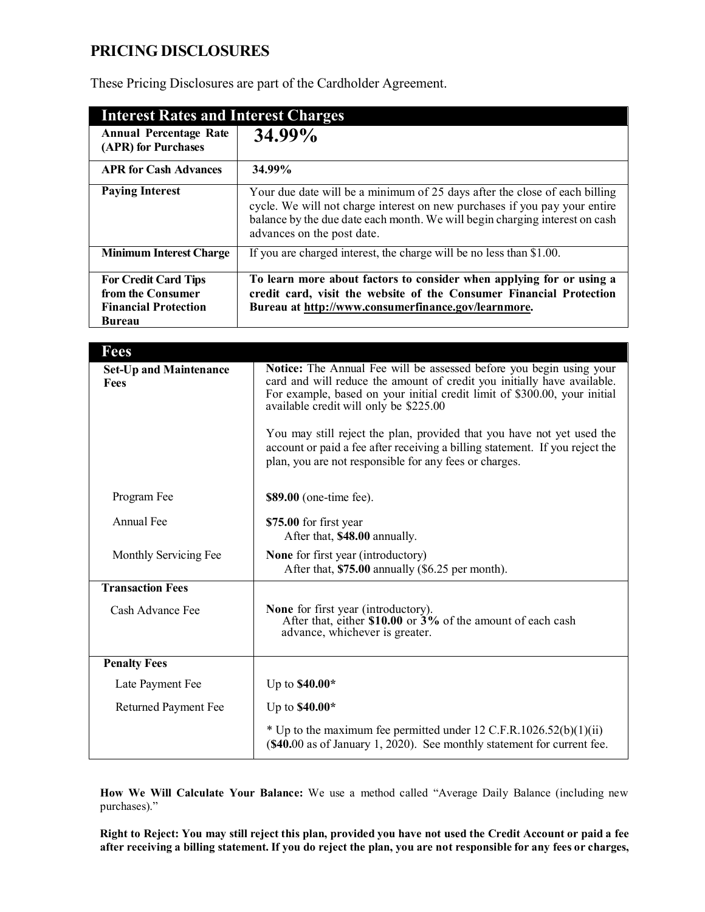# **PRICING DISCLOSURES**

These Pricing Disclosures are part of the Cardholder Agreement.

| <b>Interest Rates and Interest Charges</b>                                                |                                                                                                                                                                                                                                                                       |
|-------------------------------------------------------------------------------------------|-----------------------------------------------------------------------------------------------------------------------------------------------------------------------------------------------------------------------------------------------------------------------|
| <b>Annual Percentage Rate</b><br>(APR) for Purchases                                      | 34.99%                                                                                                                                                                                                                                                                |
| <b>APR for Cash Advances</b>                                                              | 34.99%                                                                                                                                                                                                                                                                |
| <b>Paying Interest</b>                                                                    | Your due date will be a minimum of 25 days after the close of each billing<br>cycle. We will not charge interest on new purchases if you pay your entire<br>balance by the due date each month. We will begin charging interest on cash<br>advances on the post date. |
| <b>Minimum Interest Charge</b>                                                            | If you are charged interest, the charge will be no less than \$1.00.                                                                                                                                                                                                  |
| <b>For Credit Card Tips</b><br>from the Consumer<br><b>Financial Protection</b><br>Bureau | To learn more about factors to consider when applying for or using a<br>credit card, visit the website of the Consumer Financial Protection<br>Bureau at http://www.consumerfinance.gov/learnmore.                                                                    |

| <b>Fees</b>                           |                                                                                                                                                                                                                                                                                                                                                                                                                                                                                           |
|---------------------------------------|-------------------------------------------------------------------------------------------------------------------------------------------------------------------------------------------------------------------------------------------------------------------------------------------------------------------------------------------------------------------------------------------------------------------------------------------------------------------------------------------|
| <b>Set-Up and Maintenance</b><br>Fees | Notice: The Annual Fee will be assessed before you begin using your<br>card and will reduce the amount of credit you initially have available.<br>For example, based on your initial credit limit of \$300.00, your initial<br>available credit will only be \$225.00<br>You may still reject the plan, provided that you have not yet used the<br>account or paid a fee after receiving a billing statement. If you reject the<br>plan, you are not responsible for any fees or charges. |
| Program Fee                           | \$89.00 (one-time fee).                                                                                                                                                                                                                                                                                                                                                                                                                                                                   |
| Annual Fee                            | \$75.00 for first year<br>After that, \$48.00 annually.                                                                                                                                                                                                                                                                                                                                                                                                                                   |
| Monthly Servicing Fee                 | None for first year (introductory)<br>After that, \$75.00 annually (\$6.25 per month).                                                                                                                                                                                                                                                                                                                                                                                                    |
| <b>Transaction Fees</b>               |                                                                                                                                                                                                                                                                                                                                                                                                                                                                                           |
| Cash Advance Fee                      | None for first year (introductory).<br>After that, either $$10.00$ or $3\%$ of the amount of each cash<br>advance, whichever is greater.                                                                                                                                                                                                                                                                                                                                                  |
| <b>Penalty Fees</b>                   |                                                                                                                                                                                                                                                                                                                                                                                                                                                                                           |
| Late Payment Fee                      | Up to $$40.00*$                                                                                                                                                                                                                                                                                                                                                                                                                                                                           |
| <b>Returned Payment Fee</b>           | Up to $$40.00*$                                                                                                                                                                                                                                                                                                                                                                                                                                                                           |
|                                       | * Up to the maximum fee permitted under 12 C.F.R.1026.52(b)(1)(ii)<br>(\$40.00 as of January 1, 2020). See monthly statement for current fee.                                                                                                                                                                                                                                                                                                                                             |

**How We Will Calculate Your Balance:** We use a method called "Average Daily Balance (including new purchases)."

Right to Reject: You may still reject this plan, provided you have not used the Credit Account or paid a fee after receiving a billing statement. If you do reject the plan, you are not responsible for any fees or charges,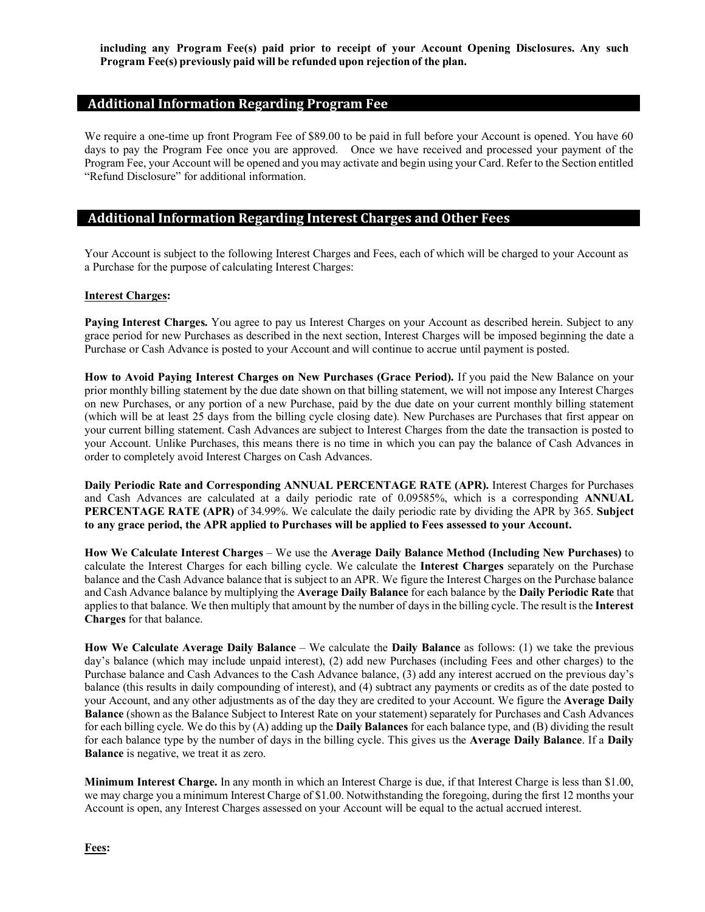**including any Program Fee(s) paid prior to receipt of your Account Opening Disclosures. Any such Program Fee(s) previously paid will be refunded upon rejection of the plan.**

## **Additional Information Regarding Program Fee**

We require a one-time up front Program Fee of \$89.00 to be paid in full before your Account is opened. You have 60 days to pay the Program Fee once you are approved. Once we have received and processed your payment of the Program Fee, your Account will be opened and you may activate and begin using your Card. Refer to the Section entitled "Refund Disclosure" for additional information.

# **Additional Information Regarding Interest Charges and Other Fees**

Your Account is subject to the following Interest Charges and Fees, each of which will be charged to your Account as a Purchase for the purpose of calculating Interest Charges:

#### **Interest Charges:**

**Paying Interest Charges.** You agree to pay us Interest Charges on your Account as described herein. Subject to any grace period for new Purchases as described in the next section, Interest Charges will be imposed beginning the date a Purchase or Cash Advance is posted to your Account and will continue to accrue until payment is posted.

**How to Avoid Paying Interest Charges on New Purchases (Grace Period).** If you paid the New Balance on your prior monthly billing statement by the due date shown on that billing statement, we will not impose any Interest Charges on new Purchases, or any portion of a new Purchase, paid by the due date on your current monthly billing statement (which will be at least 25 days from the billing cycle closing date). New Purchases are Purchases that first appear on your current billing statement. Cash Advances are subject to Interest Charges from the date the transaction is posted to your Account. Unlike Purchases, this means there is no time in which you can pay the balance of Cash Advances in order to completely avoid Interest Charges on Cash Advances.

**Daily Periodic Rate and Corresponding ANNUAL PERCENTAGE RATE (APR).** Interest Charges for Purchases and Cash Advances are calculated at a daily periodic rate of 0.09585%, which is a corresponding **ANNUAL PERCENTAGE RATE (APR)** of 34.99%. We calculate the daily periodic rate by dividing the APR by 365. **Subject to any grace period, the APR applied to Purchases will be applied to Fees assessed to your Account.**

**How We Calculate Interest Charges** – We use the **Average Daily Balance Method (Including New Purchases)** to calculate the Interest Charges for each billing cycle. We calculate the **Interest Charges** separately on the Purchase balance and the Cash Advance balance that is subject to an APR. We figure the Interest Charges on the Purchase balance and Cash Advance balance by multiplying the **Average Daily Balance** for each balance by the **Daily Periodic Rate** that applies to that balance. We then multiply that amount by the number of days in the billing cycle. The result is the **Interest Charges** for that balance.

**How We Calculate Average Daily Balance** – We calculate the **Daily Balance** as follows: (1) we take the previous day's balance (which may include unpaid interest), (2) add new Purchases (including Fees and other charges) to the Purchase balance and Cash Advances to the Cash Advance balance, (3) add any interest accrued on the previous day's balance (this results in daily compounding of interest), and (4) subtract any payments or credits as of the date posted to your Account, and any other adjustments as of the day they are credited to your Account. We figure the **Average Daily Balance** (shown as the Balance Subject to Interest Rate on your statement) separately for Purchases and Cash Advances for each billing cycle. We do this by (A) adding up the **Daily Balances** for each balance type, and (B) dividing the result for each balance type by the number of days in the billing cycle. This gives us the **Average Daily Balance**. If a **Daily Balance** is negative, we treat it as zero.

**Minimum Interest Charge.** In any month in which an Interest Charge is due, if that Interest Charge is less than \$1.00, we may charge you a minimum Interest Charge of \$1.00. Notwithstanding the foregoing, during the first 12 months your Account is open, any Interest Charges assessed on your Account will be equal to the actual accrued interest.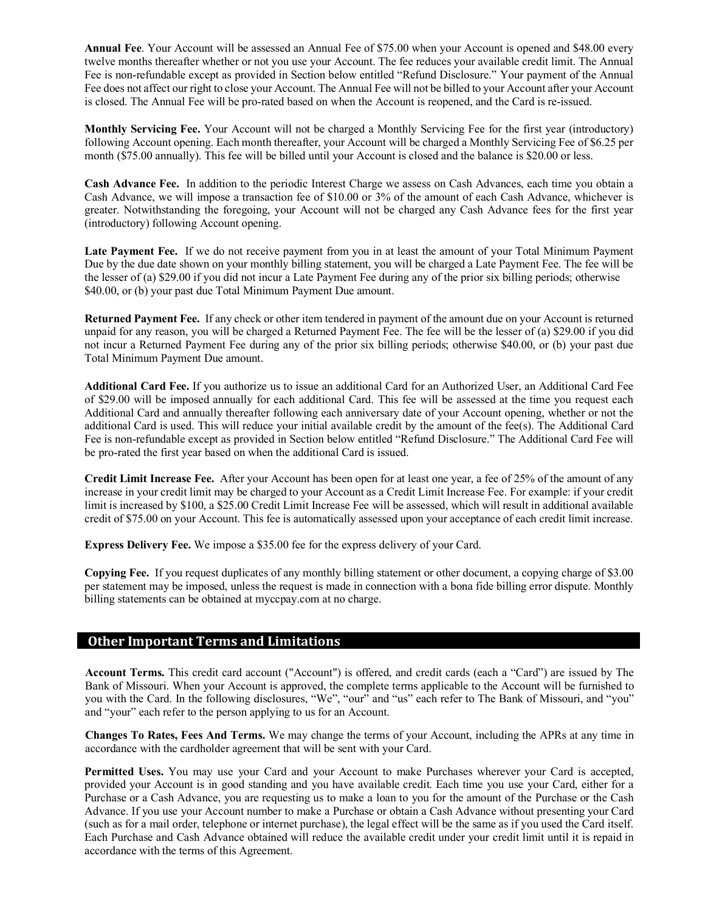**Annual Fee**. Your Account will be assessed an Annual Fee of \$75.00 when your Account is opened and \$48.00 every twelve months thereafter whether or not you use your Account. The fee reduces your available credit limit. The Annual Fee is non-refundable except as provided in Section below entitled "Refund Disclosure." Your payment of the Annual Fee does not affect our right to close your Account. The Annual Fee will not be billed to your Account after your Account is closed. The Annual Fee will be pro-rated based on when the Account is reopened, and the Card is re-issued.

**Monthly Servicing Fee.** Your Account will not be charged a Monthly Servicing Fee for the first year (introductory) following Account opening. Each month thereafter, your Account will be charged a Monthly Servicing Fee of \$6.25 per month (\$75.00 annually). This fee will be billed until your Account is closed and the balance is \$20.00 or less.

**Cash Advance Fee.** In addition to the periodic Interest Charge we assess on Cash Advances, each time you obtain a Cash Advance, we will impose a transaction fee of \$10.00 or 3% of the amount of each Cash Advance, whichever is greater. Notwithstanding the foregoing, your Account will not be charged any Cash Advance fees for the first year (introductory) following Account opening.

**Late Payment Fee.** If we do not receive payment from you in at least the amount of your Total Minimum Payment Due by the due date shown on your monthly billing statement, you will be charged a Late Payment Fee. The fee will be the lesser of (a) \$29.00 if you did not incur a Late Payment Fee during any of the prior six billing periods; otherwise \$40.00, or (b) your past due Total Minimum Payment Due amount.

**Returned Payment Fee.** If any check or other item tendered in payment of the amount due on your Account is returned unpaid for any reason, you will be charged a Returned Payment Fee. The fee will be the lesser of (a) \$29.00 if you did not incur a Returned Payment Fee during any of the prior six billing periods; otherwise \$40.00, or (b) your past due Total Minimum Payment Due amount.

**Additional Card Fee.** If you authorize us to issue an additional Card for an Authorized User, an Additional Card Fee of \$29.00 will be imposed annually for each additional Card. This fee will be assessed at the time you request each Additional Card and annually thereafter following each anniversary date of your Account opening, whether or not the additional Card is used. This will reduce your initial available credit by the amount of the fee(s). The Additional Card Fee is non-refundable except as provided in Section below entitled "Refund Disclosure." The Additional Card Fee will be pro-rated the first year based on when the additional Card is issued.

**Credit Limit Increase Fee.** After your Account has been open for at least one year, a fee of 25% of the amount of any increase in your credit limit may be charged to your Account as a Credit Limit Increase Fee. For example: if your credit limit is increased by \$100, a \$25.00 Credit Limit Increase Fee will be assessed, which will result in additional available credit of \$75.00 on your Account. This fee is automatically assessed upon your acceptance of each credit limit increase.

**Express Delivery Fee.** We impose a \$35.00 fee for the express delivery of your Card.

**Copying Fee.** If you request duplicates of any monthly billing statement or other document, a copying charge of \$3.00 per statement may be imposed, unless the request is made in connection with a bona fide billing error dispute. Monthly billing statements can be obtained at myccpay.com at no charge.

## **Other Important Terms and Limitations**

**Account Terms.** This credit card account ("Account") is offered, and credit cards (each a "Card") are issued by The Bank of Missouri. When your Account is approved, the complete terms applicable to the Account will be furnished to you with the Card. In the following disclosures, "We", "our" and "us" each refer to The Bank of Missouri, and "you" and "your" each refer to the person applying to us for an Account.

**Changes To Rates, Fees And Terms.** We may change the terms of your Account, including the APRs at any time in accordance with the cardholder agreement that will be sent with your Card.

**Permitted Uses.** You may use your Card and your Account to make Purchases wherever your Card is accepted, provided your Account is in good standing and you have available credit. Each time you use your Card, either for a Purchase or a Cash Advance, you are requesting us to make a loan to you for the amount of the Purchase or the Cash Advance. If you use your Account number to make a Purchase or obtain a Cash Advance without presenting your Card (such as for a mail order, telephone or internet purchase), the legal effect will be the same as if you used the Card itself. Each Purchase and Cash Advance obtained will reduce the available credit under your credit limit until it is repaid in accordance with the terms of this Agreement.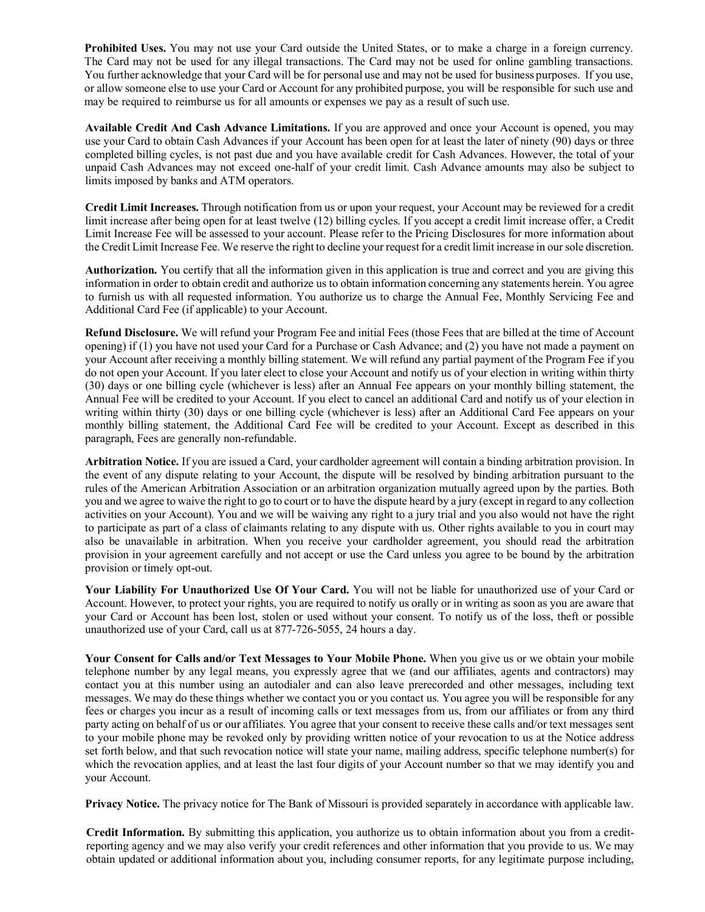**Prohibited Uses.** You may not use your Card outside the United States, or to make a charge in a foreign currency. The Card may not be used for any illegal transactions. The Card may not be used for online gambling transactions. You further acknowledge that your Card will be for personal use and may not be used for business purposes. If you use, or allow someone else to use your Card or Account for any prohibited purpose, you will be responsible for such use and may be required to reimburse us for all amounts or expenses we pay as a result of such use.

**Available Credit And Cash Advance Limitations.** If you are approved and once your Account is opened, you may use your Card to obtain Cash Advances if your Account has been open for at least the later of ninety (90) days or three completed billing cycles, is not past due and you have available credit for Cash Advances. However, the total of your unpaid Cash Advances may not exceed one-half of your credit limit. Cash Advance amounts may also be subject to limits imposed by banks and ATM operators.

**Credit Limit Increases.** Through notification from us or upon your request, your Account may be reviewed for a credit limit increase after being open for at least twelve (12) billing cycles. If you accept a credit limit increase offer, a Credit Limit Increase Fee will be assessed to your account. Please refer to the Pricing Disclosures for more information about the Credit Limit Increase Fee. We reserve the right to decline your request for a credit limit increase in our sole discretion.

**Authorization.** You certify that all the information given in this application is true and correct and you are giving this information in order to obtain credit and authorize us to obtain information concerning any statements herein. You agree to furnish us with all requested information. You authorize us to charge the Annual Fee, Monthly Servicing Fee and Additional Card Fee (if applicable) to your Account.

**Refund Disclosure.** We will refund your Program Fee and initial Fees (those Fees that are billed at the time of Account opening) if (1) you have not used your Card for a Purchase or Cash Advance; and (2) you have not made a payment on your Account after receiving a monthly billing statement. We will refund any partial payment of the Program Fee if you do not open your Account. If you later elect to close your Account and notify us of your election in writing within thirty (30) days or one billing cycle (whichever is less) after an Annual Fee appears on your monthly billing statement, the Annual Fee will be credited to your Account. If you elect to cancel an additional Card and notify us of your election in writing within thirty (30) days or one billing cycle (whichever is less) after an Additional Card Fee appears on your monthly billing statement, the Additional Card Fee will be credited to your Account. Except as described in this paragraph, Fees are generally non-refundable.

**Arbitration Notice.** If you are issued a Card, your cardholder agreement will contain a binding arbitration provision. In the event of any dispute relating to your Account, the dispute will be resolved by binding arbitration pursuant to the rules of the American Arbitration Association or an arbitration organization mutually agreed upon by the parties. Both you and we agree to waive the right to go to court or to have the dispute heard by a jury (except in regard to any collection activities on your Account). You and we will be waiving any right to a jury trial and you also would not have the right to participate as part of a class of claimants relating to any dispute with us. Other rights available to you in court may also be unavailable in arbitration. When you receive your cardholder agreement, you should read the arbitration provision in your agreement carefully and not accept or use the Card unless you agree to be bound by the arbitration provision or timely opt-out.

**Your Liability For Unauthorized Use Of Your Card.** You will not be liable for unauthorized use of your Card or Account. However, to protect your rights, you are required to notify us orally or in writing as soon as you are aware that your Card or Account has been lost, stolen or used without your consent. To notify us of the loss, theft or possible unauthorized use of your Card, call us at 877-726-5055, 24 hours a day.

**Your Consent for Calls and/or Text Messages to Your Mobile Phone.** When you give us or we obtain your mobile telephone number by any legal means, you expressly agree that we (and our affiliates, agents and contractors) may contact you at this number using an autodialer and can also leave prerecorded and other messages, including text messages. We may do these things whether we contact you or you contact us. You agree you will be responsible for any fees or charges you incur as a result of incoming calls or text messages from us, from our affiliates or from any third party acting on behalf of us or our affiliates. You agree that your consent to receive these calls and/or text messages sent to your mobile phone may be revoked only by providing written notice of your revocation to us at the Notice address set forth below, and that such revocation notice will state your name, mailing address, specific telephone number(s) for which the revocation applies, and at least the last four digits of your Account number so that we may identify you and your Account.

**Privacy Notice.** The privacy notice for The Bank of Missouri is provided separately in accordance with applicable law.

**Credit Information.** By submitting this application, you authorize us to obtain information about you from a creditreporting agency and we may also verify your credit references and other information that you provide to us. We may obtain updated or additional information about you, including consumer reports, for any legitimate purpose including,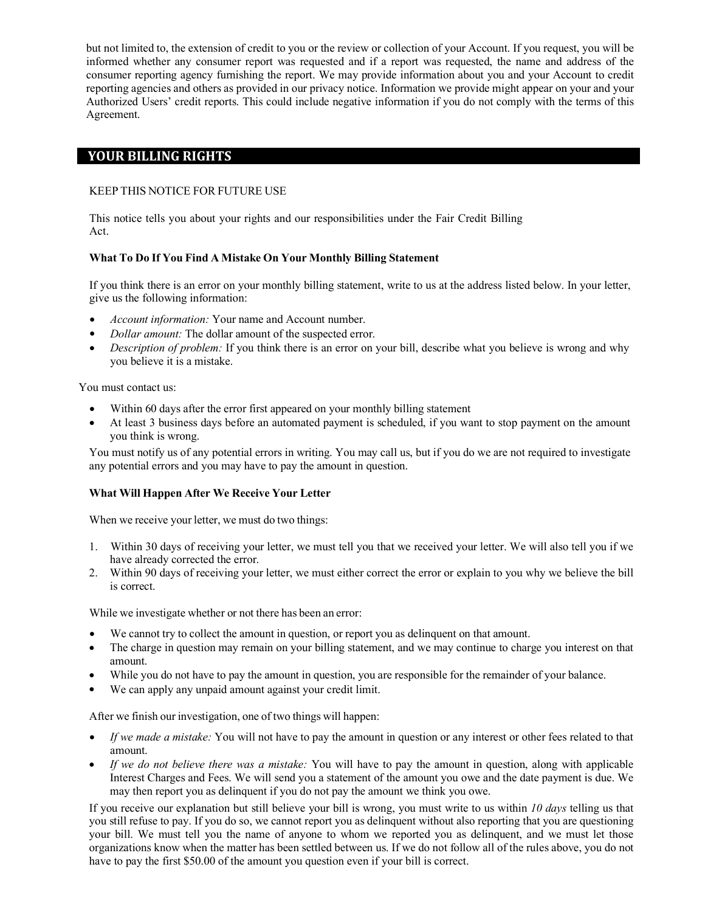but not limited to, the extension of credit to you or the review or collection of your Account. If you request, you will be informed whether any consumer report was requested and if a report was requested, the name and address of the consumer reporting agency furnishing the report. We may provide information about you and your Account to credit reporting agencies and others as provided in our privacy notice. Information we provide might appear on your and your Authorized Users' credit reports. This could include negative information if you do not comply with the terms of this Agreement.

## **YOUR BILLING RIGHTS**

### KEEP THIS NOTICE FOR FUTURE USE

This notice tells you about your rights and our responsibilities under the Fair Credit Billing Act.

### **What To Do If You Find A Mistake On Your Monthly Billing Statement**

If you think there is an error on your monthly billing statement, write to us at the address listed below. In your letter, give us the following information:

- *Account information:* Your name and Account number.
- *Dollar amount:* The dollar amount of the suspected error.
- *Description of problem:* If you think there is an error on your bill, describe what you believe is wrong and why you believe it is a mistake.

You must contact us:

- Within 60 days after the error first appeared on your monthly billing statement
- At least 3 business days before an automated payment is scheduled, if you want to stop payment on the amount you think is wrong.

You must notify us of any potential errors in writing. You may call us, but if you do we are not required to investigate any potential errors and you may have to pay the amount in question.

#### **What Will Happen After We Receive Your Letter**

When we receive your letter, we must do two things:

- 1. Within 30 days of receiving your letter, we must tell you that we received your letter. We will also tell you if we have already corrected the error.
- 2. Within 90 days of receiving your letter, we must either correct the error or explain to you why we believe the bill is correct.

While we investigate whether or not there has been an error:

- We cannot try to collect the amount in question, or report you as delinquent on that amount.
- The charge in question may remain on your billing statement, and we may continue to charge you interest on that amount.
- While you do not have to pay the amount in question, you are responsible for the remainder of your balance.
- We can apply any unpaid amount against your credit limit.

After we finish our investigation, one of two things will happen:

- *If we made a mistake:* You will not have to pay the amount in question or any interest or other fees related to that amount.
- *If we do not believe there was a mistake:* You will have to pay the amount in question, along with applicable Interest Charges and Fees. We will send you a statement of the amount you owe and the date payment is due. We may then report you as delinquent if you do not pay the amount we think you owe.

If you receive our explanation but still believe your bill is wrong, you must write to us within *10 days* telling us that you still refuse to pay. If you do so, we cannot report you as delinquent without also reporting that you are questioning your bill. We must tell you the name of anyone to whom we reported you as delinquent, and we must let those organizations know when the matter has been settled between us. If we do not follow all of the rules above, you do not have to pay the first \$50.00 of the amount you question even if your bill is correct.